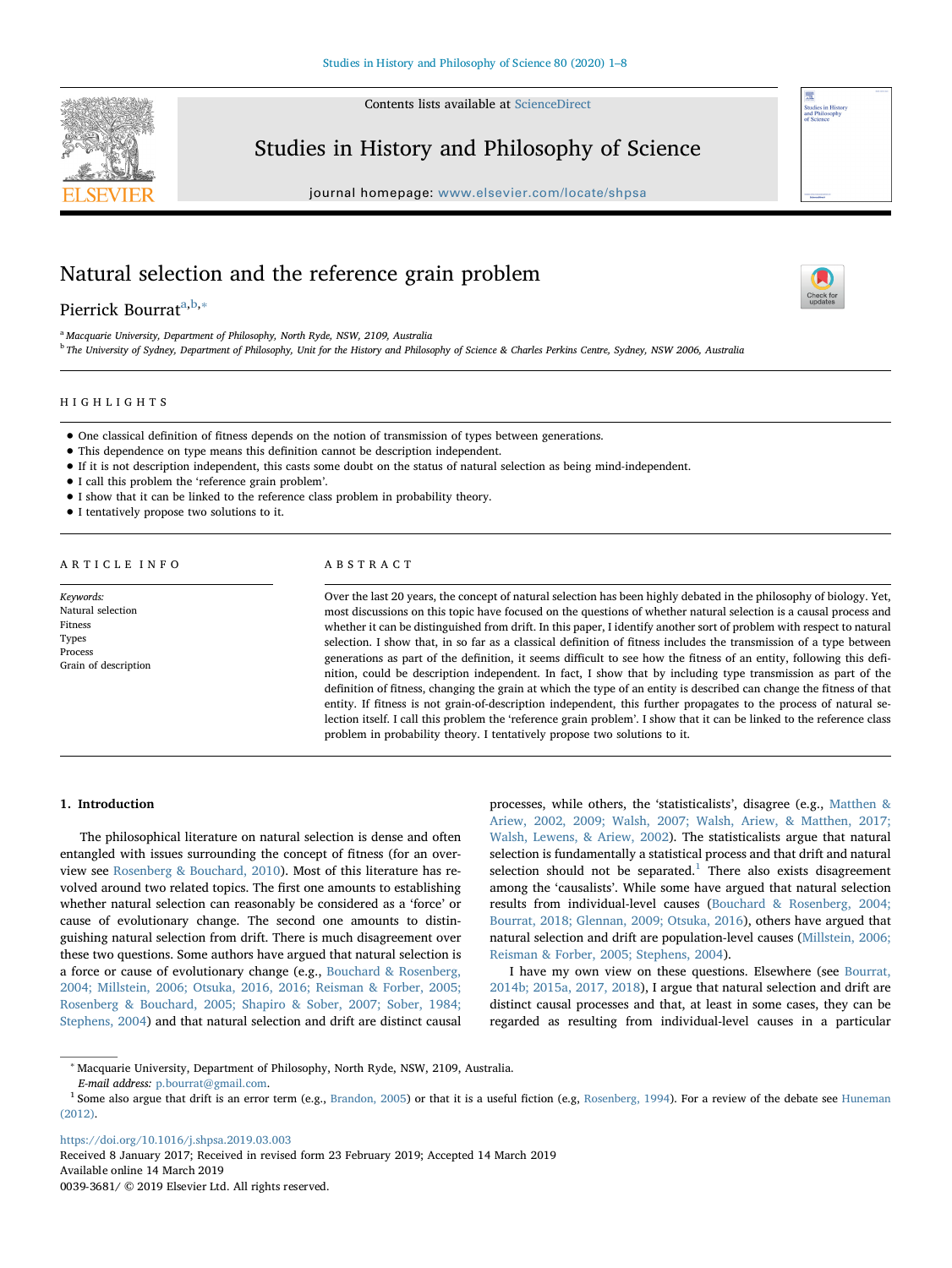Contents lists available at [ScienceDirect](http://www.sciencedirect.com/science/journal/00393681)



## Studies in History and Philosophy of Science

journal homepage: [www.elsevier.com/locate/shpsa](https://www.elsevier.com/locate/shpsa)

# Natural selection and the reference grain problem

## Pierrick Bourr[a](#page-0-0)t<sup>a[,b,](#page-0-1)[∗](#page-0-2)</sup>

<span id="page-0-0"></span><sup>a</sup> Macquarie University, Department of Philosophy, North Ryde, NSW, 2109, Australia

<span id="page-0-1"></span><sup>b</sup> The University of Sydney, Department of Philosophy, Unit for the History and Philosophy of Science & Charles Perkins Centre, Sydney, NSW 2006, Australia

## HIGHLIGHTS

- One classical definition of fitness depends on the notion of transmission of types between generations.
- This dependence on type means this definition cannot be description independent.
- If it is not description independent, this casts some doubt on the status of natural selection as being mind-independent.
- I call this problem the 'reference grain problem'.
- I show that it can be linked to the reference class problem in probability theory.
- I tentatively propose two solutions to it.

#### ARTICLE INFO

Keywords: Natural selection Fitness Types Process Grain of description

#### ABSTRACT

Over the last 20 years, the concept of natural selection has been highly debated in the philosophy of biology. Yet, most discussions on this topic have focused on the questions of whether natural selection is a causal process and whether it can be distinguished from drift. In this paper, I identify another sort of problem with respect to natural selection. I show that, in so far as a classical definition of fitness includes the transmission of a type between generations as part of the definition, it seems difficult to see how the fitness of an entity, following this definition, could be description independent. In fact, I show that by including type transmission as part of the definition of fitness, changing the grain at which the type of an entity is described can change the fitness of that entity. If fitness is not grain-of-description independent, this further propagates to the process of natural selection itself. I call this problem the 'reference grain problem'. I show that it can be linked to the reference class problem in probability theory. I tentatively propose two solutions to it.

#### 1. Introduction

The philosophical literature on natural selection is dense and often entangled with issues surrounding the concept of fitness (for an overview see [Rosenberg & Bouchard, 2010](#page-7-0)). Most of this literature has revolved around two related topics. The first one amounts to establishing whether natural selection can reasonably be considered as a 'force' or cause of evolutionary change. The second one amounts to distinguishing natural selection from drift. There is much disagreement over these two questions. Some authors have argued that natural selection is a force or cause of evolutionary change (e.g., [Bouchard & Rosenberg,](#page-6-0) [2004; Millstein, 2006; Otsuka, 2016, 2016; Reisman & Forber, 2005;](#page-6-0) [Rosenberg & Bouchard, 2005; Shapiro & Sober, 2007; Sober, 1984;](#page-6-0) [Stephens, 2004\)](#page-6-0) and that natural selection and drift are distinct causal

processes, while others, the 'statisticalists', disagree (e.g., [Matthen &](#page-7-1) [Ariew, 2002, 2009; Walsh, 2007; Walsh, Ariew, & Matthen, 2017;](#page-7-1) [Walsh, Lewens, & Ariew, 2002\)](#page-7-1). The statisticalists argue that natural selection is fundamentally a statistical process and that drift and natural selection should not be separated.<sup>[1](#page-0-3)</sup> There also exists disagreement among the 'causalists'. While some have argued that natural selection results from individual-level causes ([Bouchard & Rosenberg, 2004;](#page-6-0) [Bourrat, 2018; Glennan, 2009; Otsuka, 2016](#page-6-0)), others have argued that natural selection and drift are population-level causes [\(Millstein, 2006;](#page-7-2) [Reisman & Forber, 2005; Stephens, 2004\)](#page-7-2).

I have my own view on these questions. Elsewhere (see [Bourrat,](#page-6-1) [2014b; 2015a, 2017, 2018\)](#page-6-1), I argue that natural selection and drift are distinct causal processes and that, at least in some cases, they can be regarded as resulting from individual-level causes in a particular

<https://doi.org/10.1016/j.shpsa.2019.03.003>

Received 8 January 2017; Received in revised form 23 February 2019; Accepted 14 March 2019 Available online 14 March 2019 0039-3681/ © 2019 Elsevier Ltd. All rights reserved.



<span id="page-0-2"></span><sup>∗</sup> Macquarie University, Department of Philosophy, North Ryde, NSW, 2109, Australia. E-mail address: [p.bourrat@gmail.com](mailto:p.bourrat@gmail.com).

<span id="page-0-3"></span><sup>&</sup>lt;sup>1</sup> Some also argue that drift is an error term (e.g., [Brandon, 2005](#page-7-3)) or that it is a useful fiction (e.g, [Rosenberg, 1994](#page-7-4)). For a review of the debate see [Huneman](#page-7-5) [\(2012\)](#page-7-5).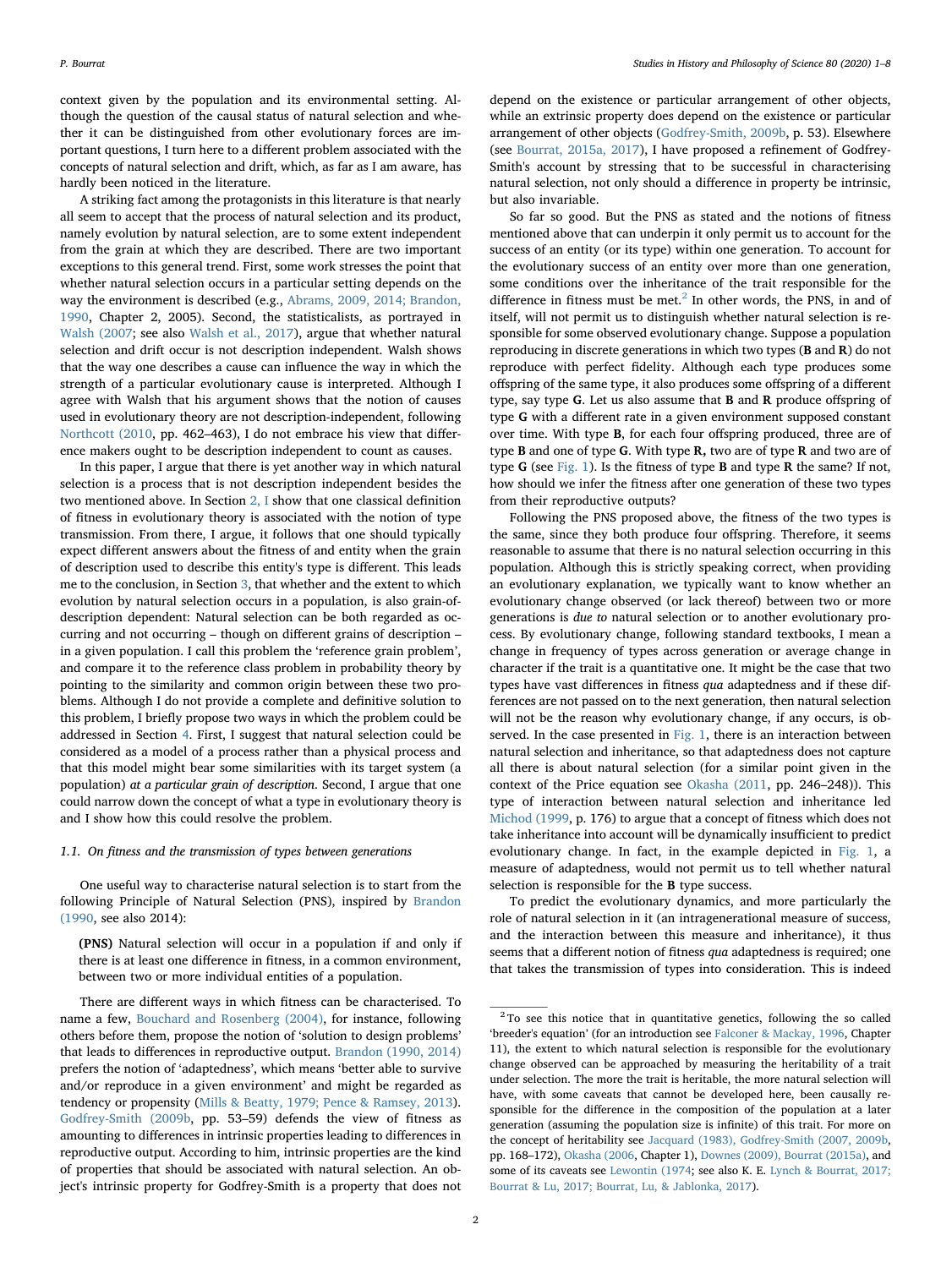context given by the population and its environmental setting. Although the question of the causal status of natural selection and whether it can be distinguished from other evolutionary forces are important questions, I turn here to a different problem associated with the concepts of natural selection and drift, which, as far as I am aware, has hardly been noticed in the literature.

A striking fact among the protagonists in this literature is that nearly all seem to accept that the process of natural selection and its product, namely evolution by natural selection, are to some extent independent from the grain at which they are described. There are two important exceptions to this general trend. First, some work stresses the point that whether natural selection occurs in a particular setting depends on the way the environment is described (e.g., [Abrams, 2009, 2014; Brandon,](#page-6-2) [1990,](#page-6-2) Chapter 2, 2005). Second, the statisticalists, as portrayed in [Walsh \(2007;](#page-7-6) see also [Walsh et al., 2017\)](#page-7-7), argue that whether natural selection and drift occur is not description independent. Walsh shows that the way one describes a cause can influence the way in which the strength of a particular evolutionary cause is interpreted. Although I agree with Walsh that his argument shows that the notion of causes used in evolutionary theory are not description-independent, following [Northcott \(2010](#page-7-8), pp. 462–463), I do not embrace his view that difference makers ought to be description independent to count as causes.

In this paper, I argue that there is yet another way in which natural selection is a process that is not description independent besides the two mentioned above. In Section [2, I](#page-2-0) show that one classical definition of fitness in evolutionary theory is associated with the notion of type transmission. From there, I argue, it follows that one should typically expect different answers about the fitness of and entity when the grain of description used to describe this entity's type is different. This leads me to the conclusion, in Section [3](#page-5-0), that whether and the extent to which evolution by natural selection occurs in a population, is also grain-ofdescription dependent: Natural selection can be both regarded as occurring and not occurring – though on different grains of description – in a given population. I call this problem the 'reference grain problem', and compare it to the reference class problem in probability theory by pointing to the similarity and common origin between these two problems. Although I do not provide a complete and definitive solution to this problem, I briefly propose two ways in which the problem could be addressed in Section [4](#page-6-3). First, I suggest that natural selection could be considered as a model of a process rather than a physical process and that this model might bear some similarities with its target system (a population) at a particular grain of description. Second, I argue that one could narrow down the concept of what a type in evolutionary theory is and I show how this could resolve the problem.

### 1.1. On fitness and the transmission of types between generations

One useful way to characterise natural selection is to start from the following Principle of Natural Selection (PNS), inspired by [Brandon](#page-7-9) [\(1990,](#page-7-9) see also 2014):

(PNS) Natural selection will occur in a population if and only if there is at least one difference in fitness, in a common environment, between two or more individual entities of a population.

There are different ways in which fitness can be characterised. To name a few, [Bouchard and Rosenberg \(2004\)](#page-6-0), for instance, following others before them, propose the notion of 'solution to design problems' that leads to differences in reproductive output. [Brandon \(1990, 2014\)](#page-7-9) prefers the notion of 'adaptedness', which means 'better able to survive and/or reproduce in a given environment' and might be regarded as tendency or propensity ([Mills & Beatty, 1979; Pence & Ramsey, 2013](#page-7-10)). [Godfrey-Smith \(2009b](#page-7-11), pp. 53–59) defends the view of fitness as amounting to differences in intrinsic properties leading to differences in reproductive output. According to him, intrinsic properties are the kind of properties that should be associated with natural selection. An object's intrinsic property for Godfrey-Smith is a property that does not

depend on the existence or particular arrangement of other objects, while an extrinsic property does depend on the existence or particular arrangement of other objects ([Godfrey-Smith, 2009b,](#page-7-11) p. 53). Elsewhere (see [Bourrat, 2015a, 2017](#page-6-4)), I have proposed a refinement of Godfrey-Smith's account by stressing that to be successful in characterising natural selection, not only should a difference in property be intrinsic, but also invariable.

So far so good. But the PNS as stated and the notions of fitness mentioned above that can underpin it only permit us to account for the success of an entity (or its type) within one generation. To account for the evolutionary success of an entity over more than one generation, some conditions over the inheritance of the trait responsible for the difference in fitness must be met.<sup>[2](#page-1-0)</sup> In other words, the PNS, in and of itself, will not permit us to distinguish whether natural selection is responsible for some observed evolutionary change. Suppose a population reproducing in discrete generations in which two types (B and R) do not reproduce with perfect fidelity. Although each type produces some offspring of the same type, it also produces some offspring of a different type, say type G. Let us also assume that B and R produce offspring of type G with a different rate in a given environment supposed constant over time. With type B, for each four offspring produced, three are of type B and one of type G. With type R, two are of type R and two are of type G (see [Fig. 1\)](#page-2-1). Is the fitness of type B and type R the same? If not, how should we infer the fitness after one generation of these two types from their reproductive outputs?

Following the PNS proposed above, the fitness of the two types is the same, since they both produce four offspring. Therefore, it seems reasonable to assume that there is no natural selection occurring in this population. Although this is strictly speaking correct, when providing an evolutionary explanation, we typically want to know whether an evolutionary change observed (or lack thereof) between two or more generations is due to natural selection or to another evolutionary process. By evolutionary change, following standard textbooks, I mean a change in frequency of types across generation or average change in character if the trait is a quantitative one. It might be the case that two types have vast differences in fitness qua adaptedness and if these differences are not passed on to the next generation, then natural selection will not be the reason why evolutionary change, if any occurs, is ob-served. In the case presented in [Fig. 1,](#page-2-1) there is an interaction between natural selection and inheritance, so that adaptedness does not capture all there is about natural selection (for a similar point given in the context of the Price equation see [Okasha \(2011](#page-7-12), pp. 246–248)). This type of interaction between natural selection and inheritance led [Michod \(1999](#page-7-13), p. 176) to argue that a concept of fitness which does not take inheritance into account will be dynamically insufficient to predict evolutionary change. In fact, in the example depicted in [Fig. 1,](#page-2-1) a measure of adaptedness, would not permit us to tell whether natural selection is responsible for the B type success.

To predict the evolutionary dynamics, and more particularly the role of natural selection in it (an intragenerational measure of success, and the interaction between this measure and inheritance), it thus seems that a different notion of fitness qua adaptedness is required; one that takes the transmission of types into consideration. This is indeed

<span id="page-1-0"></span><sup>&</sup>lt;sup>2</sup> To see this notice that in quantitative genetics, following the so called 'breeder's equation' (for an introduction see [Falconer & Mackay, 1996,](#page-7-14) Chapter 11), the extent to which natural selection is responsible for the evolutionary change observed can be approached by measuring the heritability of a trait under selection. The more the trait is heritable, the more natural selection will have, with some caveats that cannot be developed here, been causally responsible for the difference in the composition of the population at a later generation (assuming the population size is infinite) of this trait. For more on the concept of heritability see [Jacquard \(1983\), Godfrey-Smith \(2007, 2009b,](#page-7-15) pp. 168–172), [Okasha \(2006](#page-7-16), Chapter 1), [Downes \(2009\), Bourrat \(2015a\),](#page-7-17) and some of its caveats see [Lewontin \(1974;](#page-7-18) see also K. E. [Lynch & Bourrat, 2017;](#page-7-19) [Bourrat & Lu, 2017; Bourrat, Lu, & Jablonka, 2017\)](#page-7-19).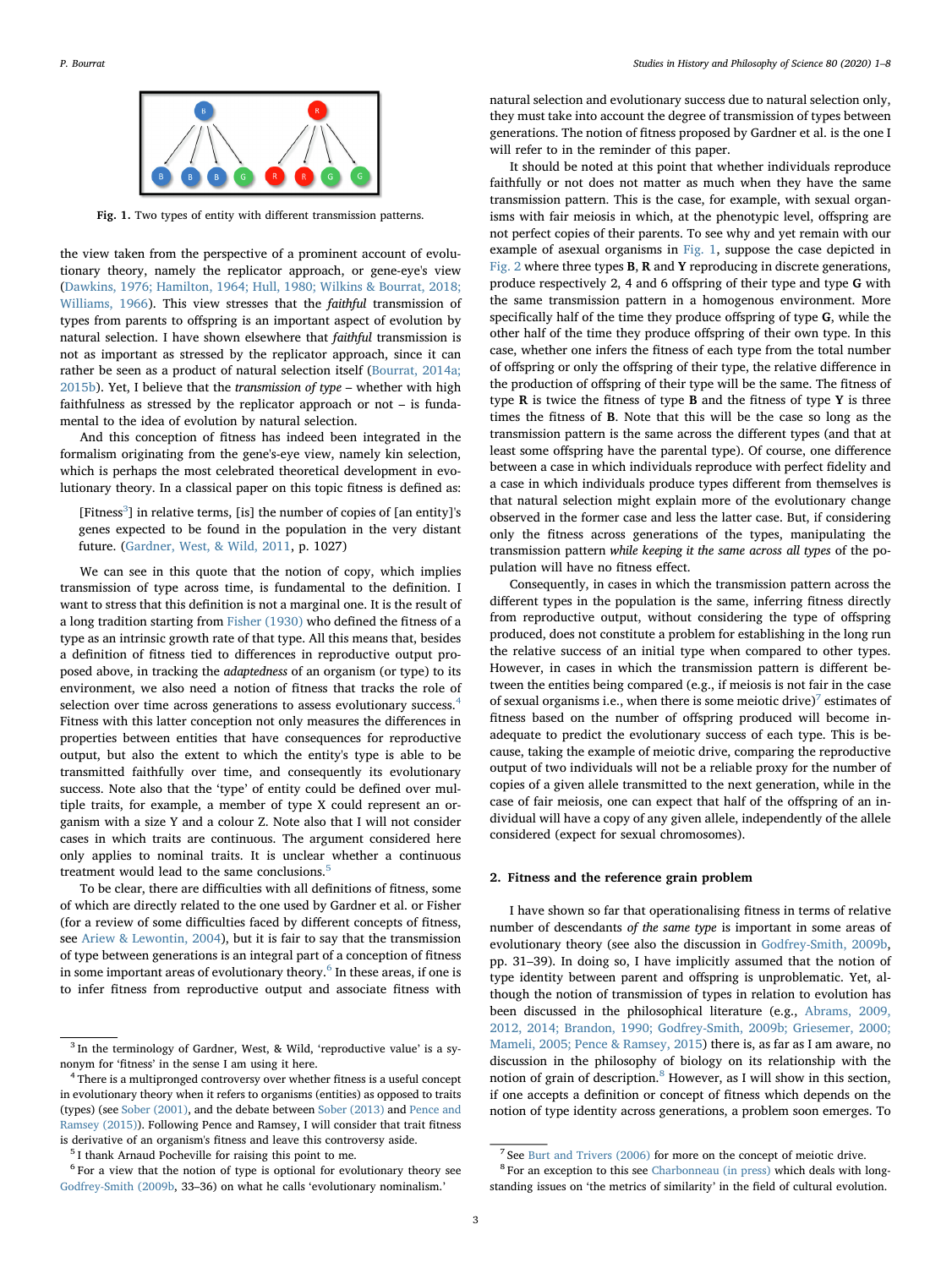<span id="page-2-1"></span>

Fig. 1. Two types of entity with different transmission patterns.

the view taken from the perspective of a prominent account of evolutionary theory, namely the replicator approach, or gene-eye's view ([Dawkins, 1976; Hamilton, 1964; Hull, 1980; Wilkins & Bourrat, 2018;](#page-7-20) [Williams, 1966\)](#page-7-20). This view stresses that the faithful transmission of types from parents to offspring is an important aspect of evolution by natural selection. I have shown elsewhere that faithful transmission is not as important as stressed by the replicator approach, since it can rather be seen as a product of natural selection itself ([Bourrat, 2014a;](#page-6-5) [2015b\)](#page-6-5). Yet, I believe that the transmission of type – whether with high faithfulness as stressed by the replicator approach or not – is fundamental to the idea of evolution by natural selection.

And this conception of fitness has indeed been integrated in the formalism originating from the gene's-eye view, namely kin selection, which is perhaps the most celebrated theoretical development in evolutionary theory. In a classical paper on this topic fitness is defined as:

[Fitness<sup>[3](#page-2-2)</sup>] in relative terms, [is] the number of copies of [an entity]'s genes expected to be found in the population in the very distant future. ([Gardner, West, & Wild, 2011](#page-7-21), p. 1027)

We can see in this quote that the notion of copy, which implies transmission of type across time, is fundamental to the definition. I want to stress that this definition is not a marginal one. It is the result of a long tradition starting from [Fisher \(1930\)](#page-7-22) who defined the fitness of a type as an intrinsic growth rate of that type. All this means that, besides a definition of fitness tied to differences in reproductive output proposed above, in tracking the adaptedness of an organism (or type) to its environment, we also need a notion of fitness that tracks the role of selection over time across generations to assess evolutionary success.<sup>[4](#page-2-3)</sup> Fitness with this latter conception not only measures the differences in properties between entities that have consequences for reproductive output, but also the extent to which the entity's type is able to be transmitted faithfully over time, and consequently its evolutionary success. Note also that the 'type' of entity could be defined over multiple traits, for example, a member of type X could represent an organism with a size Y and a colour Z. Note also that I will not consider cases in which traits are continuous. The argument considered here only applies to nominal traits. It is unclear whether a continuous treatment would lead to the same conclusions.<sup>[5](#page-2-4)</sup>

To be clear, there are difficulties with all definitions of fitness, some of which are directly related to the one used by Gardner et al. or Fisher (for a review of some difficulties faced by different concepts of fitness, see [Ariew & Lewontin, 2004](#page-6-6)), but it is fair to say that the transmission of type between generations is an integral part of a conception of fitness in some important areas of evolutionary theory.<sup>[6](#page-2-5)</sup> In these areas, if one is to infer fitness from reproductive output and associate fitness with

natural selection and evolutionary success due to natural selection only, they must take into account the degree of transmission of types between generations. The notion of fitness proposed by Gardner et al. is the one I will refer to in the reminder of this paper.

It should be noted at this point that whether individuals reproduce faithfully or not does not matter as much when they have the same transmission pattern. This is the case, for example, with sexual organisms with fair meiosis in which, at the phenotypic level, offspring are not perfect copies of their parents. To see why and yet remain with our example of asexual organisms in [Fig. 1](#page-2-1), suppose the case depicted in [Fig. 2](#page-3-0) where three types B, R and Y reproducing in discrete generations, produce respectively 2, 4 and 6 offspring of their type and type G with the same transmission pattern in a homogenous environment. More specifically half of the time they produce offspring of type G, while the other half of the time they produce offspring of their own type. In this case, whether one infers the fitness of each type from the total number of offspring or only the offspring of their type, the relative difference in the production of offspring of their type will be the same. The fitness of type R is twice the fitness of type B and the fitness of type Y is three times the fitness of B. Note that this will be the case so long as the transmission pattern is the same across the different types (and that at least some offspring have the parental type). Of course, one difference between a case in which individuals reproduce with perfect fidelity and a case in which individuals produce types different from themselves is that natural selection might explain more of the evolutionary change observed in the former case and less the latter case. But, if considering only the fitness across generations of the types, manipulating the transmission pattern while keeping it the same across all types of the population will have no fitness effect.

Consequently, in cases in which the transmission pattern across the different types in the population is the same, inferring fitness directly from reproductive output, without considering the type of offspring produced, does not constitute a problem for establishing in the long run the relative success of an initial type when compared to other types. However, in cases in which the transmission pattern is different between the entities being compared (e.g., if meiosis is not fair in the case of sexual organisms i.e., when there is some meiotic drive)<sup>[7](#page-2-6)</sup> estimates of fitness based on the number of offspring produced will become inadequate to predict the evolutionary success of each type. This is because, taking the example of meiotic drive, comparing the reproductive output of two individuals will not be a reliable proxy for the number of copies of a given allele transmitted to the next generation, while in the case of fair meiosis, one can expect that half of the offspring of an individual will have a copy of any given allele, independently of the allele considered (expect for sexual chromosomes).

#### <span id="page-2-0"></span>2. Fitness and the reference grain problem

I have shown so far that operationalising fitness in terms of relative number of descendants of the same type is important in some areas of evolutionary theory (see also the discussion in [Godfrey-Smith, 2009b](#page-7-11), pp. 31–39). In doing so, I have implicitly assumed that the notion of type identity between parent and offspring is unproblematic. Yet, although the notion of transmission of types in relation to evolution has been discussed in the philosophical literature (e.g., [Abrams, 2009,](#page-6-2) [2012, 2014; Brandon, 1990; Godfrey-Smith, 2009b; Griesemer, 2000;](#page-6-2) [Mameli, 2005; Pence & Ramsey, 2015\)](#page-6-2) there is, as far as I am aware, no discussion in the philosophy of biology on its relationship with the notion of grain of description.[8](#page-2-7) However, as I will show in this section, if one accepts a definition or concept of fitness which depends on the notion of type identity across generations, a problem soon emerges. To

<span id="page-2-2"></span> $3$  In the terminology of Gardner, West, & Wild, 'reproductive value' is a synonym for 'fitness' in the sense I am using it here.

<span id="page-2-3"></span><sup>&</sup>lt;sup>4</sup> There is a multipronged controversy over whether fitness is a useful concept in evolutionary theory when it refers to organisms (entities) as opposed to traits (types) (see [Sober \(2001\),](#page-7-23) and the debate between [Sober \(2013\)](#page-7-24) and [Pence and](#page-7-25) [Ramsey \(2015\)\)](#page-7-25). Following Pence and Ramsey, I will consider that trait fitness is derivative of an organism's fitness and leave this controversy aside.

<span id="page-2-4"></span><sup>5</sup> I thank Arnaud Pocheville for raising this point to me.

<span id="page-2-5"></span> $6$  For a view that the notion of type is optional for evolutionary theory see [Godfrey-Smith \(2009b](#page-7-11), 33–36) on what he calls 'evolutionary nominalism.'

<span id="page-2-6"></span><sup>7</sup> See [Burt and Trivers \(2006\)](#page-7-26) for more on the concept of meiotic drive.

<span id="page-2-7"></span><sup>8</sup> For an exception to this see [Charbonneau \(in press\)](#page-7-27) which deals with longstanding issues on 'the metrics of similarity' in the field of cultural evolution.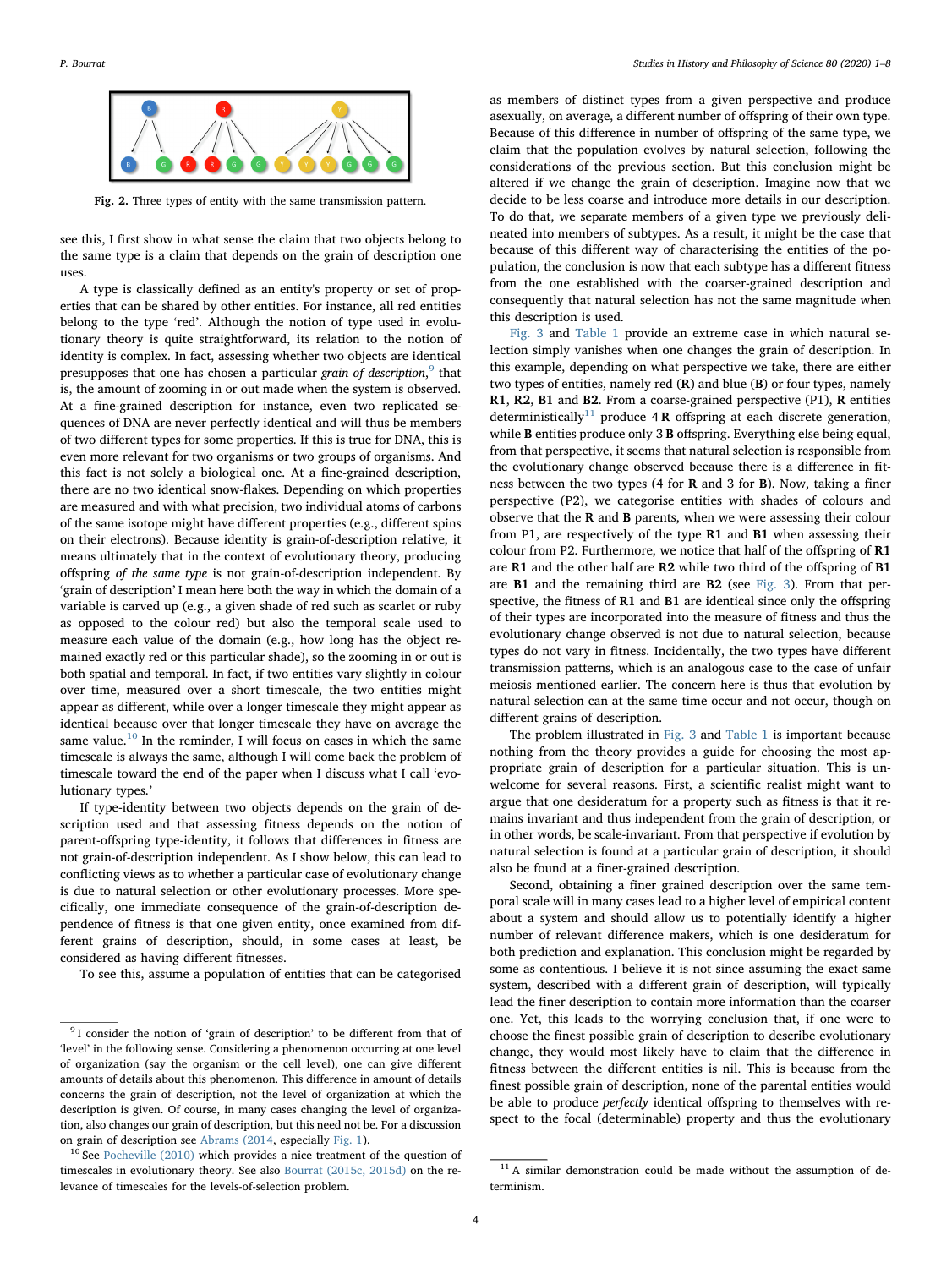<span id="page-3-0"></span>

Fig. 2. Three types of entity with the same transmission pattern.

see this, I first show in what sense the claim that two objects belong to the same type is a claim that depends on the grain of description one uses.

A type is classically defined as an entity's property or set of properties that can be shared by other entities. For instance, all red entities belong to the type 'red'. Although the notion of type used in evolutionary theory is quite straightforward, its relation to the notion of identity is complex. In fact, assessing whether two objects are identical presupposes that one has chosen a particular *grain of description*, <sup>[9](#page-3-1)</sup> that is, the amount of zooming in or out made when the system is observed. At a fine-grained description for instance, even two replicated sequences of DNA are never perfectly identical and will thus be members of two different types for some properties. If this is true for DNA, this is even more relevant for two organisms or two groups of organisms. And this fact is not solely a biological one. At a fine-grained description, there are no two identical snow-flakes. Depending on which properties are measured and with what precision, two individual atoms of carbons of the same isotope might have different properties (e.g., different spins on their electrons). Because identity is grain-of-description relative, it means ultimately that in the context of evolutionary theory, producing offspring of the same type is not grain-of-description independent. By 'grain of description' I mean here both the way in which the domain of a variable is carved up (e.g., a given shade of red such as scarlet or ruby as opposed to the colour red) but also the temporal scale used to measure each value of the domain (e.g., how long has the object remained exactly red or this particular shade), so the zooming in or out is both spatial and temporal. In fact, if two entities vary slightly in colour over time, measured over a short timescale, the two entities might appear as different, while over a longer timescale they might appear as identical because over that longer timescale they have on average the same value.<sup>[10](#page-3-2)</sup> In the reminder, I will focus on cases in which the same timescale is always the same, although I will come back the problem of timescale toward the end of the paper when I discuss what I call 'evolutionary types.'

If type-identity between two objects depends on the grain of description used and that assessing fitness depends on the notion of parent-offspring type-identity, it follows that differences in fitness are not grain-of-description independent. As I show below, this can lead to conflicting views as to whether a particular case of evolutionary change is due to natural selection or other evolutionary processes. More specifically, one immediate consequence of the grain-of-description dependence of fitness is that one given entity, once examined from different grains of description, should, in some cases at least, be considered as having different fitnesses.

To see this, assume a population of entities that can be categorised

as members of distinct types from a given perspective and produce asexually, on average, a different number of offspring of their own type. Because of this difference in number of offspring of the same type, we claim that the population evolves by natural selection, following the considerations of the previous section. But this conclusion might be altered if we change the grain of description. Imagine now that we decide to be less coarse and introduce more details in our description. To do that, we separate members of a given type we previously delineated into members of subtypes. As a result, it might be the case that because of this different way of characterising the entities of the population, the conclusion is now that each subtype has a different fitness from the one established with the coarser-grained description and consequently that natural selection has not the same magnitude when this description is used.

[Fig. 3](#page-4-0) and [Table 1](#page-4-1) provide an extreme case in which natural selection simply vanishes when one changes the grain of description. In this example, depending on what perspective we take, there are either two types of entities, namely red (R) and blue (B) or four types, namely R1, R2, B1 and B2. From a coarse-grained perspective (P1), R entities deterministically<sup>[11](#page-3-3)</sup> produce  $4R$  offspring at each discrete generation, while **B** entities produce only 3 **B** offspring. Everything else being equal, from that perspective, it seems that natural selection is responsible from the evolutionary change observed because there is a difference in fitness between the two types (4 for R and 3 for B). Now, taking a finer perspective (P2), we categorise entities with shades of colours and observe that the R and B parents, when we were assessing their colour from P1, are respectively of the type R1 and B1 when assessing their colour from P2. Furthermore, we notice that half of the offspring of R1 are R1 and the other half are R2 while two third of the offspring of B1 are B1 and the remaining third are B2 (see [Fig. 3\)](#page-4-0). From that perspective, the fitness of R1 and B1 are identical since only the offspring of their types are incorporated into the measure of fitness and thus the evolutionary change observed is not due to natural selection, because types do not vary in fitness. Incidentally, the two types have different transmission patterns, which is an analogous case to the case of unfair meiosis mentioned earlier. The concern here is thus that evolution by natural selection can at the same time occur and not occur, though on different grains of description.

The problem illustrated in [Fig. 3](#page-4-0) and [Table 1](#page-4-1) is important because nothing from the theory provides a guide for choosing the most appropriate grain of description for a particular situation. This is unwelcome for several reasons. First, a scientific realist might want to argue that one desideratum for a property such as fitness is that it remains invariant and thus independent from the grain of description, or in other words, be scale-invariant. From that perspective if evolution by natural selection is found at a particular grain of description, it should also be found at a finer-grained description.

Second, obtaining a finer grained description over the same temporal scale will in many cases lead to a higher level of empirical content about a system and should allow us to potentially identify a higher number of relevant difference makers, which is one desideratum for both prediction and explanation. This conclusion might be regarded by some as contentious. I believe it is not since assuming the exact same system, described with a different grain of description, will typically lead the finer description to contain more information than the coarser one. Yet, this leads to the worrying conclusion that, if one were to choose the finest possible grain of description to describe evolutionary change, they would most likely have to claim that the difference in fitness between the different entities is nil. This is because from the finest possible grain of description, none of the parental entities would be able to produce perfectly identical offspring to themselves with respect to the focal (determinable) property and thus the evolutionary

<span id="page-3-1"></span><sup>&</sup>lt;sup>9</sup> I consider the notion of 'grain of description' to be different from that of 'level' in the following sense. Considering a phenomenon occurring at one level of organization (say the organism or the cell level), one can give different amounts of details about this phenomenon. This difference in amount of details concerns the grain of description, not the level of organization at which the description is given. Of course, in many cases changing the level of organization, also changes our grain of description, but this need not be. For a discussion on grain of description see [Abrams \(2014,](#page-6-7) especially [Fig. 1](#page-2-1)).

<span id="page-3-2"></span><sup>&</sup>lt;sup>10</sup> See [Pocheville \(2010\)](#page-7-28) which provides a nice treatment of the question of timescales in evolutionary theory. See also [Bourrat \(2015c, 2015d\)](#page-7-29) on the relevance of timescales for the levels-of-selection problem.

<span id="page-3-3"></span><sup>&</sup>lt;sup>11</sup> A similar demonstration could be made without the assumption of determinism.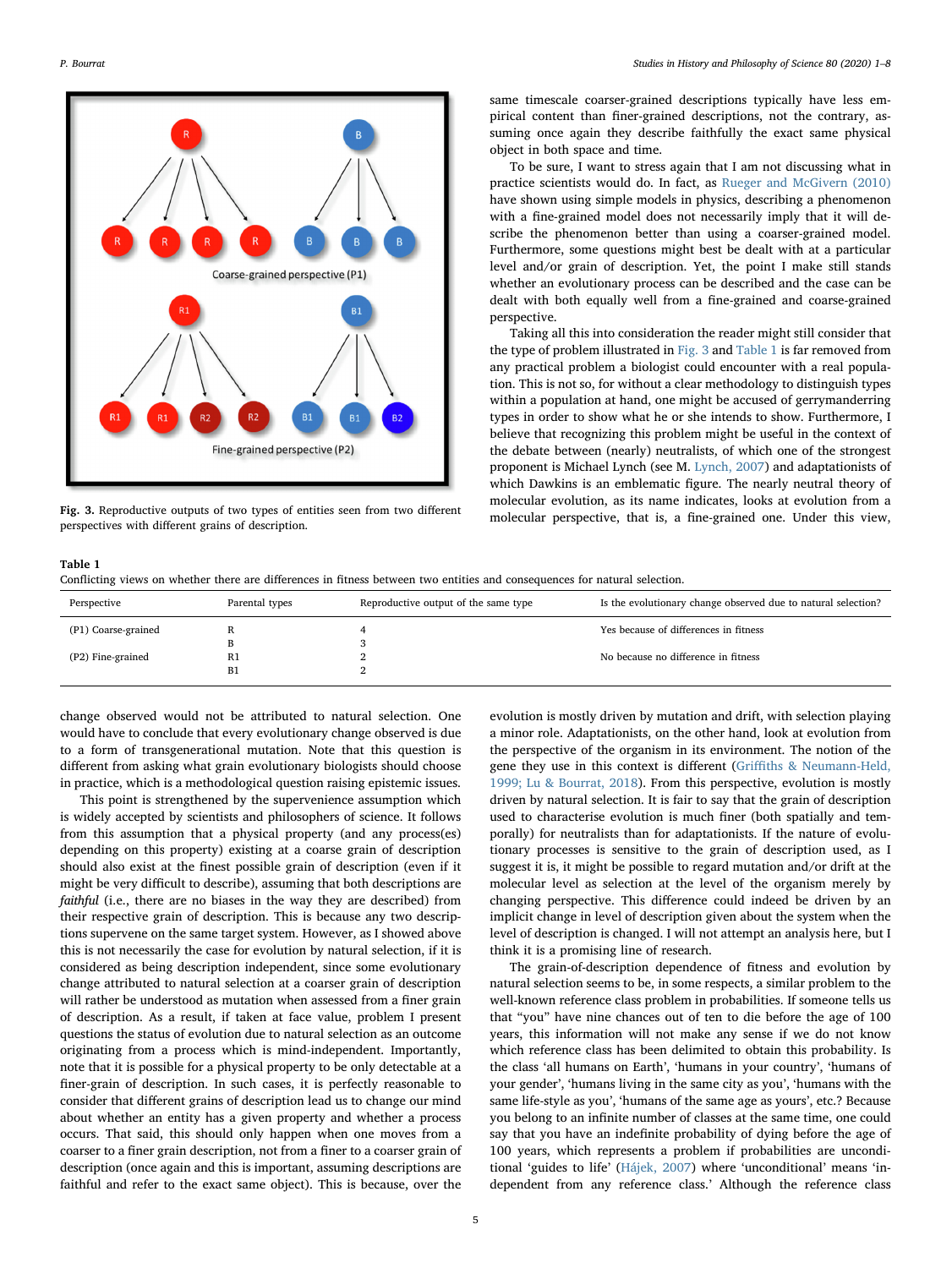<span id="page-4-0"></span>

Fig. 3. Reproductive outputs of two types of entities seen from two different perspectives with different grains of description.

same timescale coarser-grained descriptions typically have less empirical content than finer-grained descriptions, not the contrary, assuming once again they describe faithfully the exact same physical object in both space and time.

To be sure, I want to stress again that I am not discussing what in practice scientists would do. In fact, as [Rueger and McGivern \(2010\)](#page-7-30) have shown using simple models in physics, describing a phenomenon with a fine-grained model does not necessarily imply that it will describe the phenomenon better than using a coarser-grained model. Furthermore, some questions might best be dealt with at a particular level and/or grain of description. Yet, the point I make still stands whether an evolutionary process can be described and the case can be dealt with both equally well from a fine-grained and coarse-grained perspective.

Taking all this into consideration the reader might still consider that the type of problem illustrated in [Fig. 3](#page-4-0) and [Table 1](#page-4-1) is far removed from any practical problem a biologist could encounter with a real population. This is not so, for without a clear methodology to distinguish types within a population at hand, one might be accused of gerrymanderring types in order to show what he or she intends to show. Furthermore, I believe that recognizing this problem might be useful in the context of the debate between (nearly) neutralists, of which one of the strongest proponent is Michael Lynch (see M. [Lynch, 2007](#page-7-31)) and adaptationists of which Dawkins is an emblematic figure. The nearly neutral theory of molecular evolution, as its name indicates, looks at evolution from a molecular perspective, that is, a fine-grained one. Under this view,

#### <span id="page-4-1"></span>Table 1

Conflicting views on whether there are differences in fitness between two entities and consequences for natural selection.

| Perspective         | Parental types | Reproductive output of the same type | Is the evolutionary change observed due to natural selection? |
|---------------------|----------------|--------------------------------------|---------------------------------------------------------------|
| (P1) Coarse-grained |                |                                      | Yes because of differences in fitness                         |
|                     |                |                                      |                                                               |
| (P2) Fine-grained   | R1             |                                      | No because no difference in fitness                           |
|                     | B1             |                                      |                                                               |
|                     |                |                                      |                                                               |

change observed would not be attributed to natural selection. One would have to conclude that every evolutionary change observed is due to a form of transgenerational mutation. Note that this question is different from asking what grain evolutionary biologists should choose in practice, which is a methodological question raising epistemic issues.

This point is strengthened by the supervenience assumption which is widely accepted by scientists and philosophers of science. It follows from this assumption that a physical property (and any process(es) depending on this property) existing at a coarse grain of description should also exist at the finest possible grain of description (even if it might be very difficult to describe), assuming that both descriptions are faithful (i.e., there are no biases in the way they are described) from their respective grain of description. This is because any two descriptions supervene on the same target system. However, as I showed above this is not necessarily the case for evolution by natural selection, if it is considered as being description independent, since some evolutionary change attributed to natural selection at a coarser grain of description will rather be understood as mutation when assessed from a finer grain of description. As a result, if taken at face value, problem I present questions the status of evolution due to natural selection as an outcome originating from a process which is mind-independent. Importantly, note that it is possible for a physical property to be only detectable at a finer-grain of description. In such cases, it is perfectly reasonable to consider that different grains of description lead us to change our mind about whether an entity has a given property and whether a process occurs. That said, this should only happen when one moves from a coarser to a finer grain description, not from a finer to a coarser grain of description (once again and this is important, assuming descriptions are faithful and refer to the exact same object). This is because, over the evolution is mostly driven by mutation and drift, with selection playing a minor role. Adaptationists, on the other hand, look at evolution from the perspective of the organism in its environment. The notion of the gene they use in this context is different (Griffi[ths & Neumann-Held,](#page-7-32) [1999; Lu & Bourrat, 2018](#page-7-32)). From this perspective, evolution is mostly driven by natural selection. It is fair to say that the grain of description used to characterise evolution is much finer (both spatially and temporally) for neutralists than for adaptationists. If the nature of evolutionary processes is sensitive to the grain of description used, as I suggest it is, it might be possible to regard mutation and/or drift at the molecular level as selection at the level of the organism merely by changing perspective. This difference could indeed be driven by an implicit change in level of description given about the system when the level of description is changed. I will not attempt an analysis here, but I think it is a promising line of research.

The grain-of-description dependence of fitness and evolution by natural selection seems to be, in some respects, a similar problem to the well-known reference class problem in probabilities. If someone tells us that "you" have nine chances out of ten to die before the age of 100 years, this information will not make any sense if we do not know which reference class has been delimited to obtain this probability. Is the class 'all humans on Earth', 'humans in your country', 'humans of your gender', 'humans living in the same city as you', 'humans with the same life-style as you', 'humans of the same age as yours', etc.? Because you belong to an infinite number of classes at the same time, one could say that you have an indefinite probability of dying before the age of 100 years, which represents a problem if probabilities are unconditional 'guides to life' ([Hájek, 2007\)](#page-7-33) where 'unconditional' means 'independent from any reference class.' Although the reference class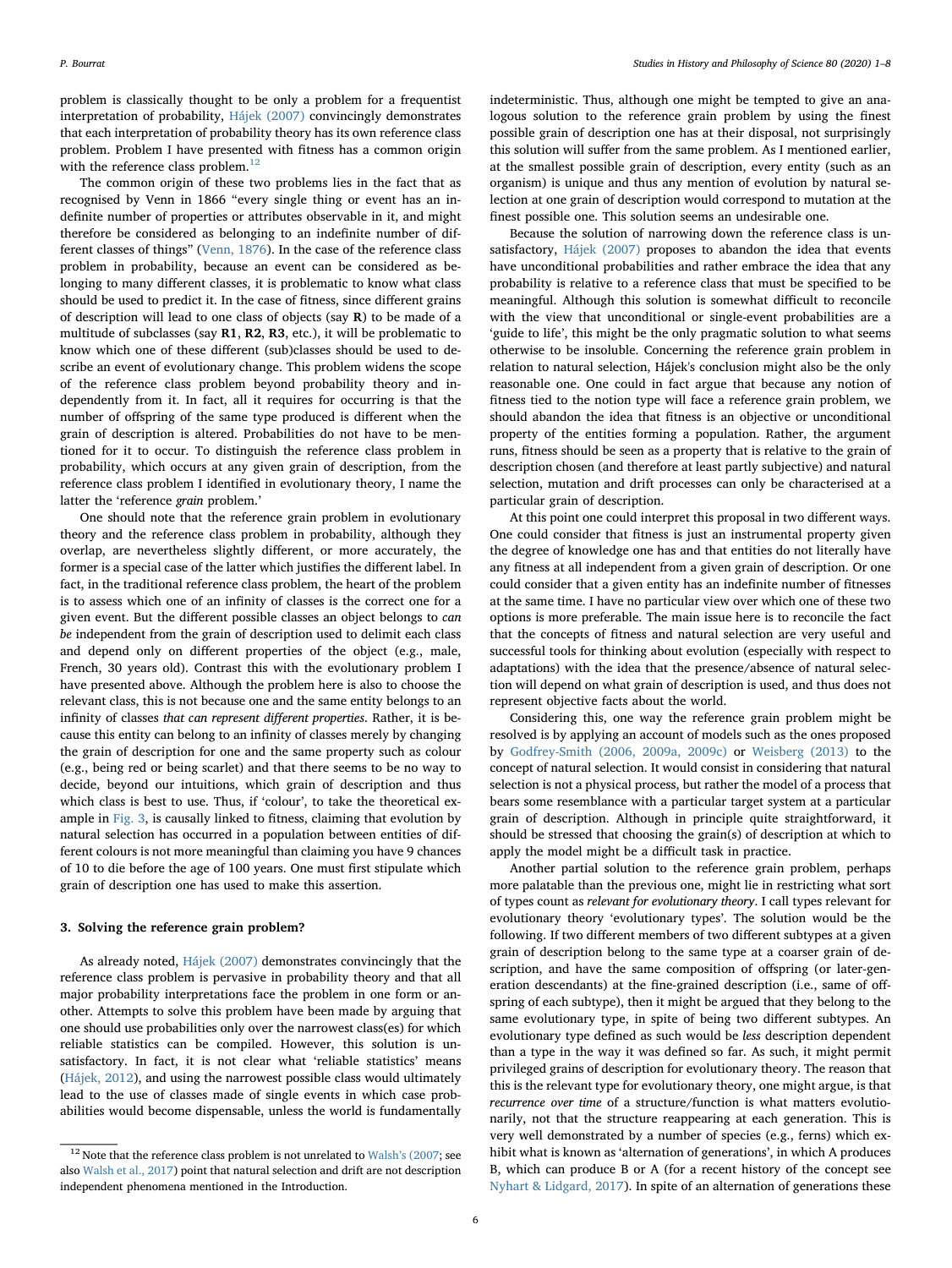problem is classically thought to be only a problem for a frequentist interpretation of probability, [Hájek \(2007\)](#page-7-33) convincingly demonstrates that each interpretation of probability theory has its own reference class problem. Problem I have presented with fitness has a common origin with the reference class problem.<sup>12</sup>

The common origin of these two problems lies in the fact that as recognised by Venn in 1866 "every single thing or event has an indefinite number of properties or attributes observable in it, and might therefore be considered as belonging to an indefinite number of different classes of things" [\(Venn, 1876\)](#page-7-34). In the case of the reference class problem in probability, because an event can be considered as belonging to many different classes, it is problematic to know what class should be used to predict it. In the case of fitness, since different grains of description will lead to one class of objects (say  $R$ ) to be made of a multitude of subclasses (say R1, R2, R3, etc.), it will be problematic to know which one of these different (sub)classes should be used to describe an event of evolutionary change. This problem widens the scope of the reference class problem beyond probability theory and independently from it. In fact, all it requires for occurring is that the number of offspring of the same type produced is different when the grain of description is altered. Probabilities do not have to be mentioned for it to occur. To distinguish the reference class problem in probability, which occurs at any given grain of description, from the reference class problem I identified in evolutionary theory, I name the latter the 'reference grain problem.'

One should note that the reference grain problem in evolutionary theory and the reference class problem in probability, although they overlap, are nevertheless slightly different, or more accurately, the former is a special case of the latter which justifies the different label. In fact, in the traditional reference class problem, the heart of the problem is to assess which one of an infinity of classes is the correct one for a given event. But the different possible classes an object belongs to can be independent from the grain of description used to delimit each class and depend only on different properties of the object (e.g., male, French, 30 years old). Contrast this with the evolutionary problem I have presented above. Although the problem here is also to choose the relevant class, this is not because one and the same entity belongs to an infinity of classes that can represent different properties. Rather, it is because this entity can belong to an infinity of classes merely by changing the grain of description for one and the same property such as colour (e.g., being red or being scarlet) and that there seems to be no way to decide, beyond our intuitions, which grain of description and thus which class is best to use. Thus, if 'colour', to take the theoretical example in [Fig.](#page-4-0) 3, is causally linked to fitness, claiming that evolution by natural selection has occurred in a population between entities of different colours is not more meaningful than claiming you have 9 chances of 10 to die before the age of 100 years. One must first stipulate which grain of description one has used to make this assertion.

## <span id="page-5-0"></span>3. Solving the reference grain problem?

As already noted, [Hájek \(2007\)](#page-7-33) demonstrates convincingly that the reference class problem is pervasive in probability theory and that all major probability interpretations face the problem in one form or another. Attempts to solve this problem have been made by arguing that one should use probabilities only over the narrowest class(es) for which reliable statistics can be compiled. However, this solution is unsatisfactory. In fact, it is not clear what 'reliable statistics' means ([Hájek, 2012\)](#page-7-35), and using the narrowest possible class would ultimately lead to the use of classes made of single events in which case probabilities would become dispensable, unless the world is fundamentally

indeterministic. Thus, although one might be tempted to give an analogous solution to the reference grain problem by using the finest possible grain of description one has at their disposal, not surprisingly this solution will suffer from the same problem. As I mentioned earlier, at the smallest possible grain of description, every entity (such as an organism) is unique and thus any mention of evolution by natural selection at one grain of description would correspond to mutation at the finest possible one. This solution seems an undesirable one.

Because the solution of narrowing down the reference class is unsatisfactory, [Hájek \(2007\)](#page-7-33) proposes to abandon the idea that events have unconditional probabilities and rather embrace the idea that any probability is relative to a reference class that must be specified to be meaningful. Although this solution is somewhat difficult to reconcile with the view that unconditional or single-event probabilities are a 'guide to life', this might be the only pragmatic solution to what seems otherwise to be insoluble. Concerning the reference grain problem in relation to natural selection, Hájek's conclusion might also be the only reasonable one. One could in fact argue that because any notion of fitness tied to the notion type will face a reference grain problem, we should abandon the idea that fitness is an objective or unconditional property of the entities forming a population. Rather, the argument runs, fitness should be seen as a property that is relative to the grain of description chosen (and therefore at least partly subjective) and natural selection, mutation and drift processes can only be characterised at a particular grain of description.

At this point one could interpret this proposal in two different ways. One could consider that fitness is just an instrumental property given the degree of knowledge one has and that entities do not literally have any fitness at all independent from a given grain of description. Or one could consider that a given entity has an indefinite number of fitnesses at the same time. I have no particular view over which one of these two options is more preferable. The main issue here is to reconcile the fact that the concepts of fitness and natural selection are very useful and successful tools for thinking about evolution (especially with respect to adaptations) with the idea that the presence/absence of natural selection will depend on what grain of description is used, and thus does not represent objective facts about the world.

Considering this, one way the reference grain problem might be resolved is by applying an account of models such as the ones proposed by [Godfrey-Smith \(2006, 2009a, 2009c\)](#page-7-36) or [Weisberg](#page-7-37) (2013) to the concept of natural selection. It would consist in considering that natural selection is not a physical process, but rather the model of a process that bears some resemblance with a particular target system at a particular grain of description. Although in principle quite straightforward, it should be stressed that choosing the grain(s) of description at which to apply the model might be a difficult task in practice.

Another partial solution to the reference grain problem, perhaps more palatable than the previous one, might lie in restricting what sort of types count as relevant for evolutionary theory. I call types relevant for evolutionary theory 'evolutionary types'. The solution would be the following. If two different members of two different subtypes at a given grain of description belong to the same type at a coarser grain of description, and have the same composition of offspring (or later-generation descendants) at the fine-grained description (i.e., same of offspring of each subtype), then it might be argued that they belong to the same evolutionary type, in spite of being two different subtypes. An evolutionary type defined as such would be less description dependent than a type in the way it was defined so far. As such, it might permit privileged grains of description for evolutionary theory. The reason that this is the relevant type for evolutionary theory, one might argue, is that recurrence over time of a structure/function is what matters evolutionarily, not that the structure reappearing at each generation. This is very well demonstrated by a number of species (e.g., ferns) which exhibit what is known as 'alternation of generations', in which A produces B, which can produce B or A (for a recent history of the concept see [Nyhart & Lidgard, 2017\)](#page-7-38). In spite of an alternation of generations these

<span id="page-5-1"></span> $^{12}$  Note that the reference class problem is not unrelated to Walsh'[s \(2007;](#page-7-6) see also [Walsh et al., 2017\)](#page-7-7) point that natural selection and drift are not description independent phenomena mentioned in the Introduction.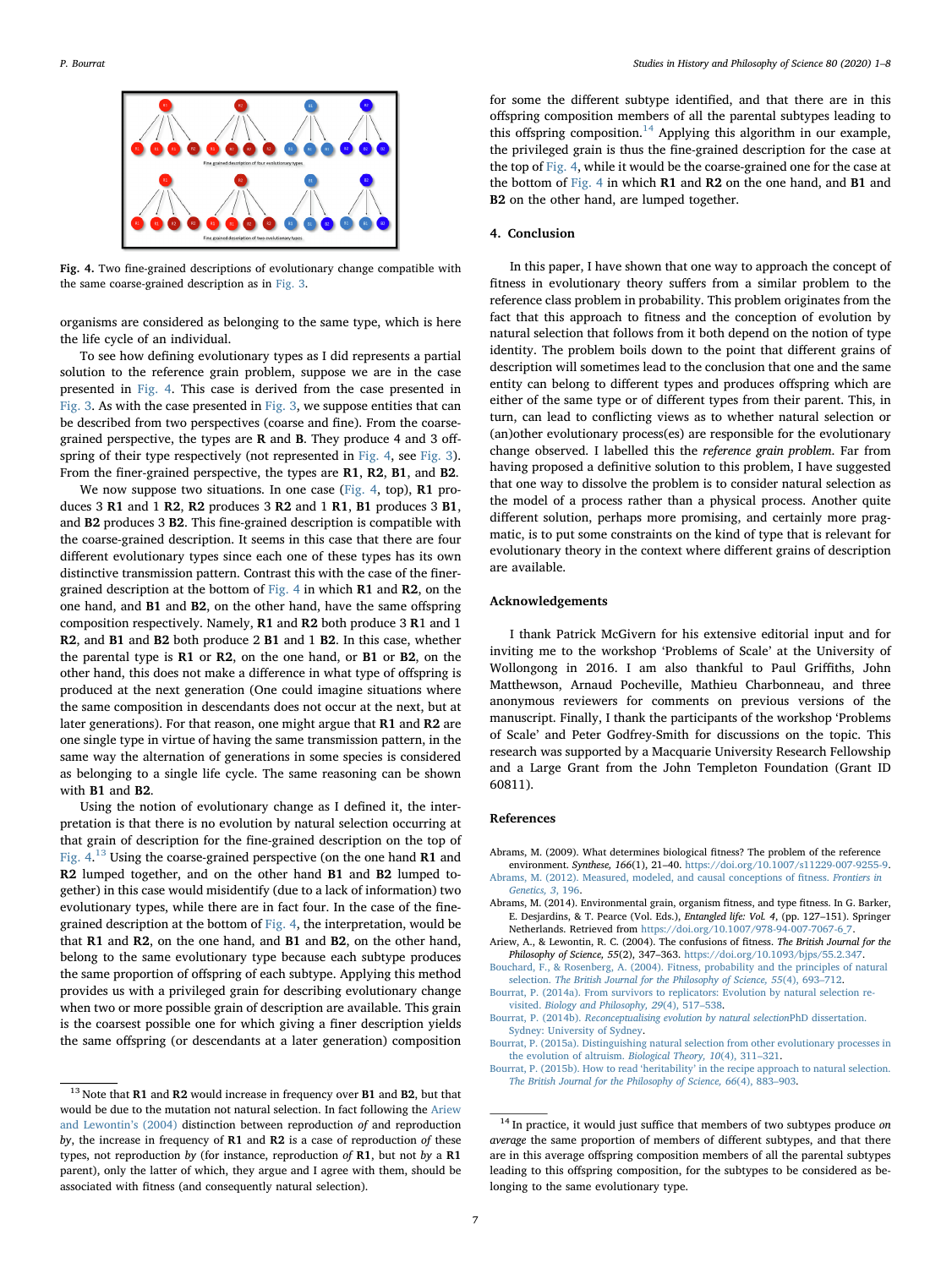<span id="page-6-8"></span>

Fig. 4. Two fine-grained descriptions of evolutionary change compatible with the same coarse-grained description as in [Fig. 3.](#page-4-0)

organisms are considered as belonging to the same type, which is here the life cycle of an individual.

To see how defining evolutionary types as I did represents a partial solution to the reference grain problem, suppose we are in the case presented in [Fig. 4](#page-6-8). This case is derived from the case presented in [Fig. 3](#page-4-0). As with the case presented in [Fig. 3,](#page-4-0) we suppose entities that can be described from two perspectives (coarse and fine). From the coarsegrained perspective, the types are R and B. They produce 4 and 3 offspring of their type respectively (not represented in [Fig. 4,](#page-6-8) see [Fig. 3](#page-4-0)). From the finer-grained perspective, the types are R1, R2, B1, and B2.

We now suppose two situations. In one case [\(Fig. 4](#page-6-8), top), R1 produces 3 R1 and 1 R2, R2 produces 3 R2 and 1 R1, B1 produces 3 B1, and B2 produces 3 B2. This fine-grained description is compatible with the coarse-grained description. It seems in this case that there are four different evolutionary types since each one of these types has its own distinctive transmission pattern. Contrast this with the case of the finergrained description at the bottom of [Fig. 4](#page-6-8) in which R1 and R2, on the one hand, and B1 and B2, on the other hand, have the same offspring composition respectively. Namely, R1 and R2 both produce 3 R1 and 1 R2, and B1 and B2 both produce 2 B1 and 1 B2. In this case, whether the parental type is R1 or R2, on the one hand, or B1 or B2, on the other hand, this does not make a difference in what type of offspring is produced at the next generation (One could imagine situations where the same composition in descendants does not occur at the next, but at later generations). For that reason, one might argue that R1 and R2 are one single type in virtue of having the same transmission pattern, in the same way the alternation of generations in some species is considered as belonging to a single life cycle. The same reasoning can be shown with B1 and B2.

Using the notion of evolutionary change as I defined it, the interpretation is that there is no evolution by natural selection occurring at that grain of description for the fine-grained description on the top of Fig.  $4.^{13}$  $4.^{13}$  $4.^{13}$  Using the coarse-grained perspective (on the one hand R1 and R2 lumped together, and on the other hand B1 and B2 lumped together) in this case would misidentify (due to a lack of information) two evolutionary types, while there are in fact four. In the case of the finegrained description at the bottom of [Fig. 4,](#page-6-8) the interpretation, would be that R1 and R2, on the one hand, and B1 and B2, on the other hand, belong to the same evolutionary type because each subtype produces the same proportion of offspring of each subtype. Applying this method provides us with a privileged grain for describing evolutionary change when two or more possible grain of description are available. This grain is the coarsest possible one for which giving a finer description yields the same offspring (or descendants at a later generation) composition

for some the different subtype identified, and that there are in this offspring composition members of all the parental subtypes leading to this offspring composition.<sup>[14](#page-6-10)</sup> Applying this algorithm in our example, the privileged grain is thus the fine-grained description for the case at the top of [Fig. 4](#page-6-8), while it would be the coarse-grained one for the case at the bottom of [Fig. 4](#page-6-8) in which R1 and R2 on the one hand, and B1 and B2 on the other hand, are lumped together.

#### <span id="page-6-3"></span>4. Conclusion

In this paper, I have shown that one way to approach the concept of fitness in evolutionary theory suffers from a similar problem to the reference class problem in probability. This problem originates from the fact that this approach to fitness and the conception of evolution by natural selection that follows from it both depend on the notion of type identity. The problem boils down to the point that different grains of description will sometimes lead to the conclusion that one and the same entity can belong to different types and produces offspring which are either of the same type or of different types from their parent. This, in turn, can lead to conflicting views as to whether natural selection or (an)other evolutionary process(es) are responsible for the evolutionary change observed. I labelled this the reference grain problem. Far from having proposed a definitive solution to this problem, I have suggested that one way to dissolve the problem is to consider natural selection as the model of a process rather than a physical process. Another quite different solution, perhaps more promising, and certainly more pragmatic, is to put some constraints on the kind of type that is relevant for evolutionary theory in the context where different grains of description are available.

#### Acknowledgements

I thank Patrick McGivern for his extensive editorial input and for inviting me to the workshop 'Problems of Scale' at the University of Wollongong in 2016. I am also thankful to Paul Griffiths, John Matthewson, Arnaud Pocheville, Mathieu Charbonneau, and three anonymous reviewers for comments on previous versions of the manuscript. Finally, I thank the participants of the workshop 'Problems of Scale' and Peter Godfrey-Smith for discussions on the topic. This research was supported by a Macquarie University Research Fellowship and a Large Grant from the John Templeton Foundation (Grant ID 60811).

#### References

<span id="page-6-2"></span>Abrams, M. (2009). What determines biological fitness? The problem of the reference

- environment. Synthese, 166(1), 21–40. [https://doi.org/10.1007/s11229-007-9255-9.](https://doi.org/10.1007/s11229-007-9255-9) [Abrams, M. \(2012\). Measured, modeled, and causal conceptions of](http://refhub.elsevier.com/S0039-3681(17)30007-9/sref2) fitness. Frontiers in [Genetics, 3](http://refhub.elsevier.com/S0039-3681(17)30007-9/sref2), 196.
- <span id="page-6-7"></span>Abrams, M. (2014). Environmental grain, organism fitness, and type fitness. In G. Barker, E. Desjardins, & T. Pearce (Vol. Eds.), Entangled life: Vol. 4, (pp. 127–151). Springer Netherlands. Retrieved from [https://doi.org/10.1007/978-94-007-7067-6\\_7.](https://doi.org/10.1007/978-94-007-7067-6_7)
- <span id="page-6-6"></span>Ariew, A., & Lewontin, R. C. (2004). The confusions of fitness. The British Journal for the Philosophy of Science, 55(2), 347–363. [https://doi.org/10.1093/bjps/55.2.347.](https://doi.org/10.1093/bjps/55.2.347)
- <span id="page-6-0"></span>[Bouchard, F., & Rosenberg, A. \(2004\). Fitness, probability and the principles of natural](http://refhub.elsevier.com/S0039-3681(17)30007-9/sref5) selection. [The British Journal for the Philosophy of Science, 55](http://refhub.elsevier.com/S0039-3681(17)30007-9/sref5)(4), 693-712.
- <span id="page-6-5"></span>[Bourrat, P. \(2014a\). From survivors to replicators: Evolution by natural selection re](http://refhub.elsevier.com/S0039-3681(17)30007-9/sref6)visited. [Biology and Philosophy, 29](http://refhub.elsevier.com/S0039-3681(17)30007-9/sref6)(4), 517–538.
- <span id="page-6-1"></span>Bourrat, P. (2014b). [Reconceptualising evolution by natural selection](http://refhub.elsevier.com/S0039-3681(17)30007-9/sref7)PhD dissertation. [Sydney: University of Sydney](http://refhub.elsevier.com/S0039-3681(17)30007-9/sref7).
- <span id="page-6-4"></span>[Bourrat, P. \(2015a\). Distinguishing natural selection from other evolutionary processes in](http://refhub.elsevier.com/S0039-3681(17)30007-9/sref8) [the evolution of altruism.](http://refhub.elsevier.com/S0039-3681(17)30007-9/sref8) Biological Theory, 10(4), 311–321.

<span id="page-6-9"></span> $^{13}$  Note that  $\bf R1$  and  $\bf R2$  would increase in frequency over  $\bf B1$  and  $\bf B2,$  but that would be due to the mutation not natural selection. In fact following the [Ariew](#page-6-6) [and Lewontin](#page-6-6)'s (2004) distinction between reproduction of and reproduction by, the increase in frequency of R1 and R2 is a case of reproduction of these types, not reproduction by (for instance, reproduction of R1, but not by a R1 parent), only the latter of which, they argue and I agree with them, should be associated with fitness (and consequently natural selection).

Bourrat, P. (2015b). How to read 'heritability' [in the recipe approach to natural selection.](http://refhub.elsevier.com/S0039-3681(17)30007-9/sref9) [The British Journal for the Philosophy of Science, 66](http://refhub.elsevier.com/S0039-3681(17)30007-9/sref9)(4), 883–903.

<span id="page-6-10"></span> $14$  In practice, it would just suffice that members of two subtypes produce on average the same proportion of members of different subtypes, and that there are in this average offspring composition members of all the parental subtypes leading to this offspring composition, for the subtypes to be considered as belonging to the same evolutionary type.